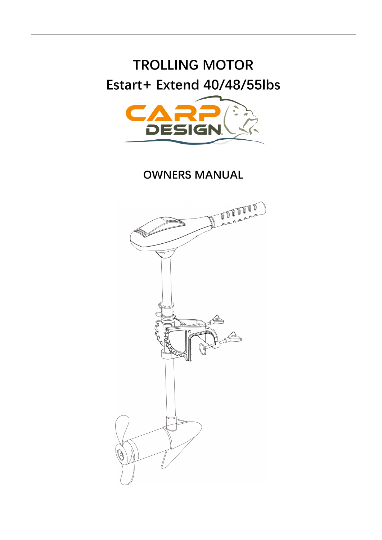# **TROLLING MOTOR Estart+ Extend 40/48/55lbs**



**OWNERS MANUAL**

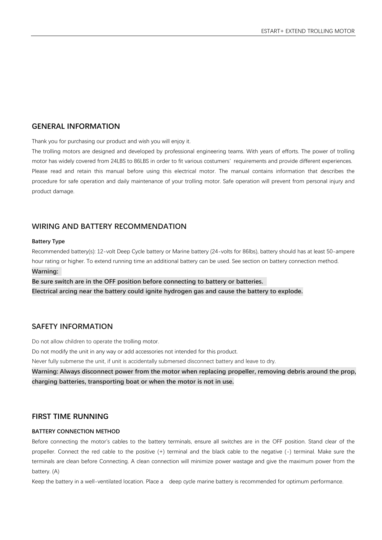## **GENERAL INFORMATION**

Thank you for purchasing our product and wish you will enjoy it.

The trolling motors are designed and developed by professional engineering teams. With years of efforts. The power of trolling motor has widely covered from 24LBS to 86LBS in order to fit various costumers' requirements and provide different experiences. Please read and retain this manual before using this electrical motor. The manual contains information that describes the procedure for safe operation and daily maintenance of your trolling motor. Safe operation will prevent from personal injury and product damage.

## **WIRING AND BATTERY RECOMMENDATION**

#### **Battery Type**

Recommended battery(s): 12-volt Deep Cycle battery or Marine battery (24-volts for 86lbs), battery should has at least 50-ampere hour rating or higher. To extend running time an additional battery can be used. See section on battery connection method. **Warning:** 

**Be sure switch are in the OFF position before connecting to battery or batteries. Electrical arcing near the battery could ignite hydrogen gas and cause the battery to explode.**

## **SAFETY INFORMATION**

Do not allow children to operate the trolling motor.

Do not modify the unit in any way or add accessories not intended for this product.

Never fully submerse the unit, if unit is accidentally submersed disconnect battery and leave to dry.

**Warning: Always disconnect power from the motor when replacing propeller, removing debris around the prop, charging batteries, transporting boat or when the motor is not in use.**

#### **FIRST TIME RUNNING**

#### **BATTERY CONNECTION METHOD**

Before connecting the motor's cables to the battery terminals, ensure all switches are in the OFF position. Stand clear of the propeller. Connect the red cable to the positive (+) terminal and the black cable to the negative (-) terminal. Make sure the terminals are clean before Connecting. A clean connection will minimize power wastage and give the maximum power from the battery. (A)

Keep the battery in a well-ventilated location. Place a deep cycle marine battery is recommended for optimum performance.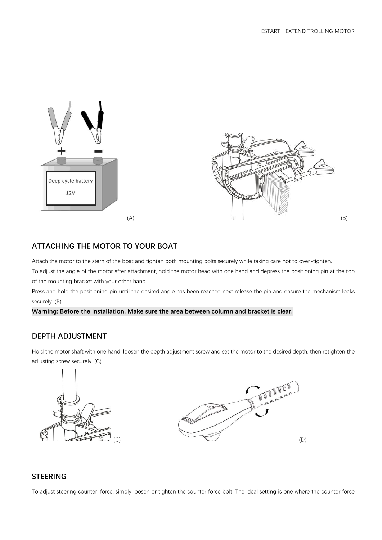



# **ATTACHING THE MOTOR TO YOUR BOAT**

Attach the motor to the stern of the boat and tighten both mounting bolts securely while taking care not to over-tighten.

To adjust the angle of the motor after attachment, hold the motor head with one hand and depress the positioning pin at the top of the mounting bracket with your other hand.

Press and hold the positioning pin until the desired angle has been reached next release the pin and ensure the mechanism locks securely. (B)

#### **Warning: Before the installation, Make sure the area between column and bracket is clear.**

## **DEPTH ADJUSTMENT**

Hold the motor shaft with one hand, loosen the depth adjustment screw and set the motor to the desired depth, then retighten the adjusting screw securely. (C)





## **STEERING**

To adjust steering counter-force, simply loosen or tighten the counter force bolt. The ideal setting is one where the counter force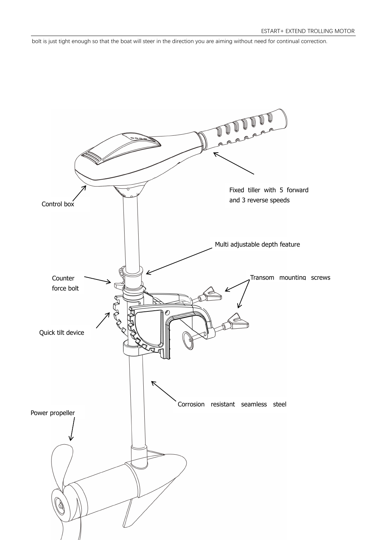bolt is just tight enough so that the boat will steer in the direction you are aiming without need for continual correction.

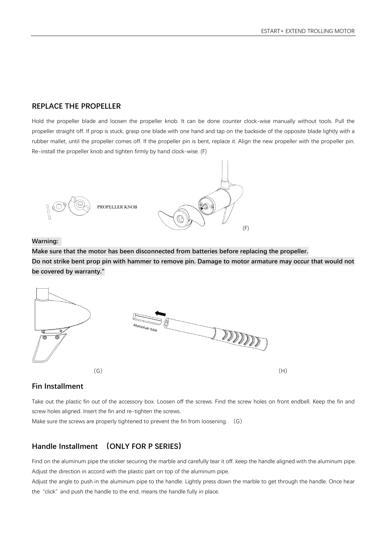## **REPLACE THE PROPELLER**

Hold the propeller blade and loosen the propeller knob. It can be done counter clock-wise manually without tools. Pull the propeller straight off. If prop is stuck, grasp one blade with one hand and tap on the backside of the opposite blade lightly with a rubber mallet, until the propeller comes off. If the propeller pin is bent, replace it. Align the new propeller with the propeller pin. Re-install the propeller knob and tighten firmly by hand clock-wise. (F)



#### **Warning:**

**Make sure that the motor has been disconnected from batteries before replacing the propeller. Do not strike bent prop pin with hammer to remove pin. Damage to motor armature may occur that would not be covered by warranty."**



## **Fin Installment**

Take out the plastic fin out of the accessory box. Loosen off the screws. Find the screw holes on front endbell. Keep the fin and screw holes aligned. Insert the fin and re-tighten the screws.

Make sure the screws are properly tightened to prevent the fin from loosening. (G)

# **Handle Installment (ONLY FOR P SERIES)**

Find on the aluminum pipe the sticker securing the marble and carefully tear it off. keep the handle aligned with the aluminum pipe. Adjust the direction in accord with the plastic part on top of the aluminum pipe.

Adjust the angle to push in the aluminum pipe to the handle. Lightly press down the marble to get through the handle. Once hear the "click" and push the handle to the end, means the handle fully in place.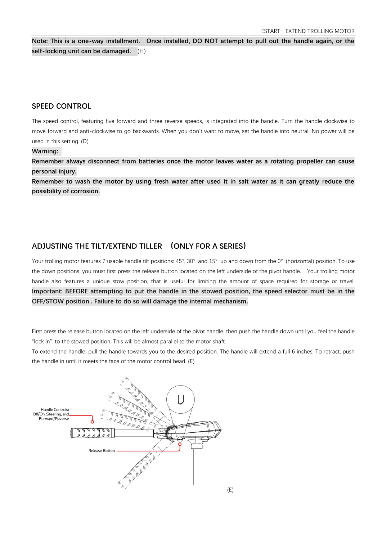**Note: This is a one-way installment. Once installed, DO NOT attempt to pull out the handle again, or the self-locking unit can be damaged.** (H)

#### **SPEED CONTROL**

The speed control, featuring five forward and three reverse speeds, is integrated into the handle. Turn the handle clockwise to move forward and anti-clockwise to go backwards. When you don't want to move, set the handle into neutral. No power will be used in this setting. (D)

#### **Warning:**

**Remember always disconnect from batteries once the motor leaves water as a rotating propeller can cause personal injury.**

**Remember to wash the motor by using fresh water after used it in salt water as it can greatly reduce the possibility of corrosion.**

## **ADJUSTING THE TILT/EXTEND TILLER (ONLY FOR A SERIES)**

Your trolling motor features 7 usable handle tilt positions: 45°, 30°, and 15° up and down from the 0° (horizontal) position. To use the down positions, you must first press the release button located on the left underside of the pivot handle. Your trolling motor handle also features a unique stow position, that is useful for limiting the amount of space required for storage or travel. **Important: BEFORE attempting to put the handle in the stowed position, the speed selector must be in the OFF/STOW position . Failure to do so will damage the internal mechanism.**

First press the release button located on the left underside of the pivot handle, then push the handle down until you feel the handle "lock in" to the stowed position. This will be almost parallel to the motor shaft.

To extend the handle, pull the handle towards you to the desired position. The handle will extend a full 6 inches. To retract, push the handle in until it meets the face of the motor control head. (E)